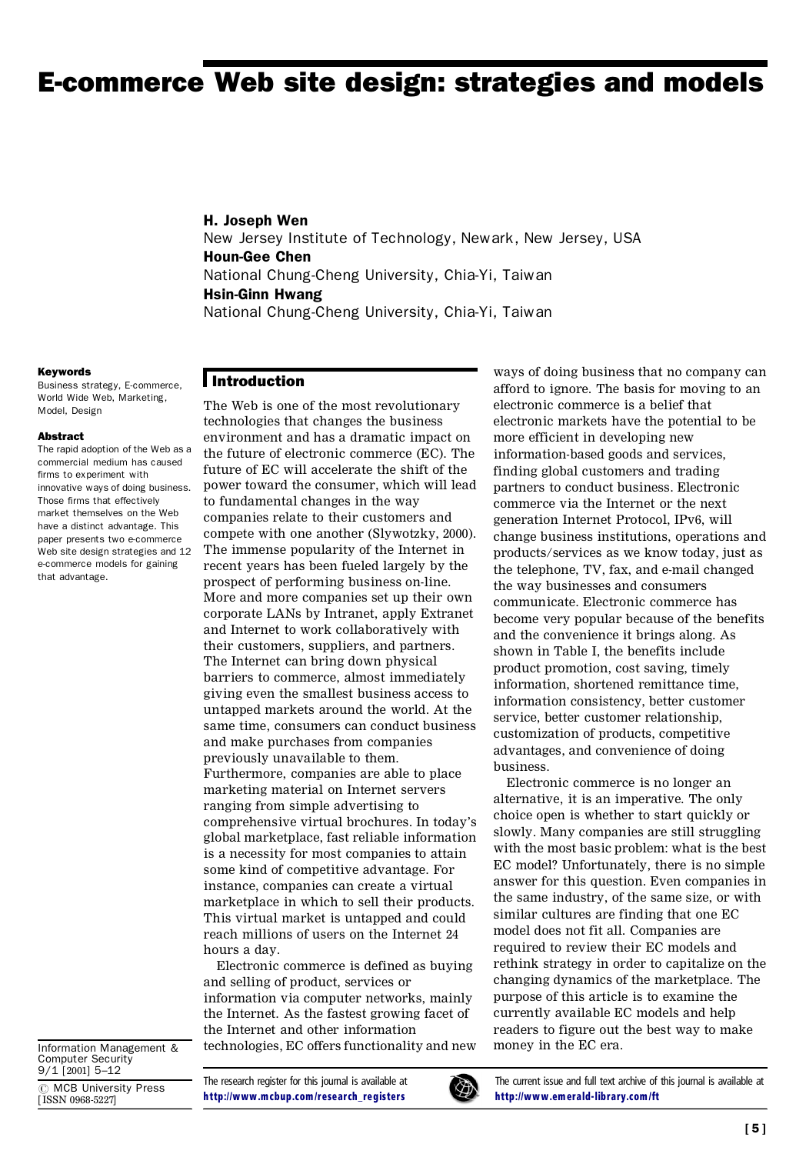# **E-commerce Web site design: strategies and models**

H. Joseph Wen New Jersey Institute of Technology, Newark, New Jersey, USA Houn-Gee Chen National Chung-Cheng University, Chia-Yi, Taiwan Hsin-Ginn Hwang National Chung-Cheng University, Chia-Yi, Taiwan

#### **Keywords**

Business strategy, E-commerce, World Wide Web, Marketing, Model, Design

#### **Abstract**

The rapid adoption of the Web as a commercial medium has caused firms to experiment with innovative ways of doing business. Those firms that effectively market themselves on the Web have a distinct advantage. This paper presents two e-commerce Web site design strategies and 12 e-commerce models for gaining that advantage.

**Introduction**

The Web is one of the most revolutionary technologies that changes the business environment and has a dramatic impact on the future of electronic commerce (EC). The future of EC will accelerate the shift of the power toward the consumer, which will lead to fundamental changes in the way companies relate to their customers and compete with one another (Slywotzky, 2000). The immense popularity of the Internet in recent years has been fueled largely by the prospect of performing business on-line. More and more companies set up their own corporate LANs by Intranet, apply Extranet and Internet to work collaboratively with their customers, suppliers, and partners. The Internet can bring down physical barriers to commerce, almost immediately giving even the smallest business access to untapped markets around the world. At the same time, consumers can conduct business and make purchases from companies previously unavailable to them. Furthermore, companies are able to place marketing material on Internet servers ranging from simple advertising to comprehensive virtual brochures. In today's global marketplace, fast reliable information is a necessity for most companies to attain some kind of competitive advantage. For instance, companies can create a virtual marketplace in which to sell their products. This virtual market is untapped and could reach millions of users on the Internet 24 hours a day.

Electronic commerce is defined as buying and selling of product, services or information via computer networks, mainly the Internet. As the fastest growing facet of the Internet and other information technologies, EC offers functionality and new ways of doing business that no company can afford to ignore. The basis for moving to an electronic commerce is a belief that electronic markets have the potential to be more efficient in developing new information-based goods and services, finding global customers and trading partners to conduct business. Electronic commerce via the Internet or the next generation Internet Protocol, IPv6, will change business institutions, operations and products/services as we know today, just as the telephone, TV, fax, and e-mail changed the way businesses and consumers communicate. Electronic commerce has become very popular because of the benefits and the convenience it brings along. As shown in Table I, the benefits include product promotion, cost saving, timely information, shortened remittance time, information consistency, better customer service, better customer relationship, customization of products, competitive advantages, and convenience of doing business.

Electronic commerce is no longer an alternative, it is an imperative. The only choice open is whether to start quickly or slowly. Many companies are still struggling with the most basic problem: what is the best EC model? Unfortunately, there is no simple answer for this question. Even companies in the same industry, of the same size, or with similar cultures are finding that one EC model does not fit all. Companies are required to review their EC models and rethink strategy in order to capitalize on the changing dynamics of the marketplace. The purpose of this article is to examine the currently available EC models and help readers to figure out the best way to make money in the EC era.

Information Management & Computer Security 9/1 [2001] 5-12

 $\odot$  MCB University Press [ISSN 0968-5227]

The research register for this journal is available at http://www.mcbup.com/research\_registers



The current issue and full text archive of this journal is available at http://www.emerald-library.com/ft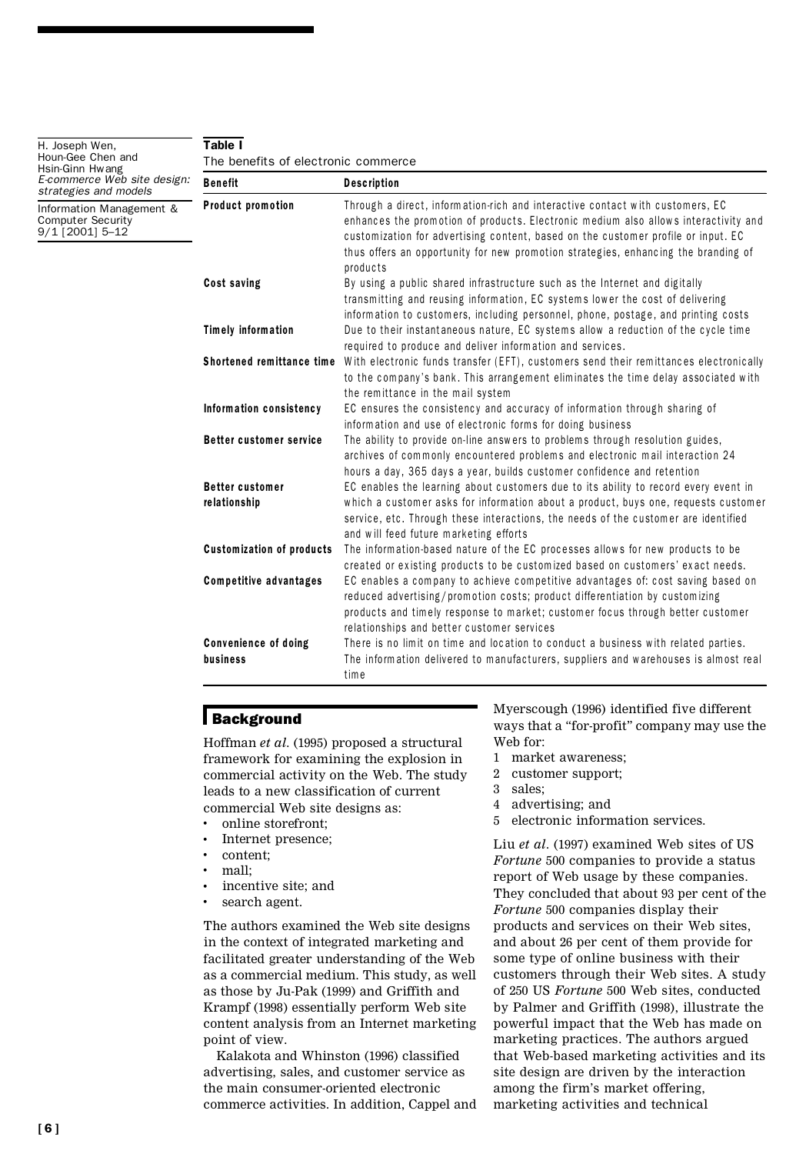| H. Joseph Wen,<br>Houn-Gee Chen and<br>Hsin-Ginn Hwang<br>E-commerce Web site design:<br>strategies and models | Table I<br>The benefits of electronic commerce |                                                                                                                                                                                                                                                                                                                                                             |  |
|----------------------------------------------------------------------------------------------------------------|------------------------------------------------|-------------------------------------------------------------------------------------------------------------------------------------------------------------------------------------------------------------------------------------------------------------------------------------------------------------------------------------------------------------|--|
|                                                                                                                | <b>Benefit</b>                                 | <b>Description</b>                                                                                                                                                                                                                                                                                                                                          |  |
| Information Management &<br><b>Computer Security</b><br>9/1 [2001] 5-12                                        | <b>Product promotion</b>                       | Through a direct, information-rich and interactive contact with customers, EC<br>enhances the promotion of products. Electronic medium also allows interactivity and<br>customization for advertising content, based on the customer profile or input. EC<br>thus offers an opportunity for new promotion strategies, enhancing the branding of<br>products |  |
|                                                                                                                | Cost saving                                    | By using a public shared infrastructure such as the Internet and digitally<br>transmitting and reusing information, EC systems lower the cost of delivering<br>information to customers, including personnel, phone, postage, and printing costs                                                                                                            |  |
|                                                                                                                | <b>Timely information</b>                      | Due to their instantaneous nature, EC systems allow a reduction of the cycle time<br>required to produce and deliver information and services.                                                                                                                                                                                                              |  |
|                                                                                                                |                                                | <b>Shortened remittance time</b> With electronic funds transfer (EFT), customers send their remittances electronically<br>to the company's bank. This arrangement eliminates the time delay associated with<br>the remittance in the mail system                                                                                                            |  |
|                                                                                                                | Information consistency                        | EC ensures the consistency and accuracy of information through sharing of<br>information and use of electronic forms for doing business                                                                                                                                                                                                                     |  |
|                                                                                                                | <b>Better customer service</b>                 | The ability to provide on-line answers to problems through resolution guides,<br>archives of commonly encountered problems and electronic mail interaction 24<br>hours a day, 365 days a year, builds customer confidence and retention                                                                                                                     |  |
|                                                                                                                | <b>Better customer</b><br>relationship         | EC enables the learning about customers due to its ability to record every event in<br>which a customer asks for information about a product, buys one, requests customer<br>service, etc. Through these interactions, the needs of the customer are identified<br>and will feed future marketing efforts                                                   |  |
|                                                                                                                | <b>Customization of products</b>               | The information-based nature of the EC processes allows for new products to be<br>created or existing products to be customized based on customers' exact needs.                                                                                                                                                                                            |  |
|                                                                                                                | Competitive advantages                         | EC enables a company to achieve competitive advantages of: cost saving based on<br>reduced advertising/promotion costs; product differentiation by customizing<br>products and timely response to market; customer focus through better customer<br>relationships and better customer services                                                              |  |
|                                                                                                                | <b>Convenience of doing</b><br>business        | There is no limit on time and location to conduct a business with related parties.<br>The information delivered to manufacturers, suppliers and warehouses is almost real<br>time                                                                                                                                                                           |  |

# **Background**

Hoffman *et al*. (1995) proposed a structural framework for examining the explosion in commercial activity on the Web. The study leads to a new classification of current commercial Web site designs as:

- . online storefront;
- . Internet presence;
- . content;
- . mall;
- . incentive site; and
- . search agent.

The authors examined the Web site designs in the context of integrated marketing and facilitated greater understanding of the Web as a commercial medium. This study, as well as those by Ju-Pak (1999) and Griffith and Krampf (1998) essentially perform Web site content analysis from an Internet marketing point of view.

Kalakota and Whinston (1996) classified advertising, sales, and customer service as the main consumer-oriented electronic commerce activities. In addition, Cappel and Myerscough (1996) identified five different ways that a "for-profit" company may use the Web for:

- 1 market awareness;
- 2 customer support;
- 3 sales;
- 4 advertising; and
- 5 electronic information services.

Liu *et al*. (1997) examined Web sites of US *Fortune* 500 companies to provide a status report of Web usage by these companies. They concluded that about 93 per cent of the *Fortune* 500 companies display their products and services on their Web sites, and about 26 per cent of them provide for some type of online business with their customers through their Web sites. A study of 250 US *Fortune* 500 Web sites, conducted by Palmer and Griffith (1998), illustrate the powerful impact that the Web has made on marketing practices. The authors argued that Web-based marketing activities and its site design are driven by the interaction among the firm's market offering, marketing activities and technical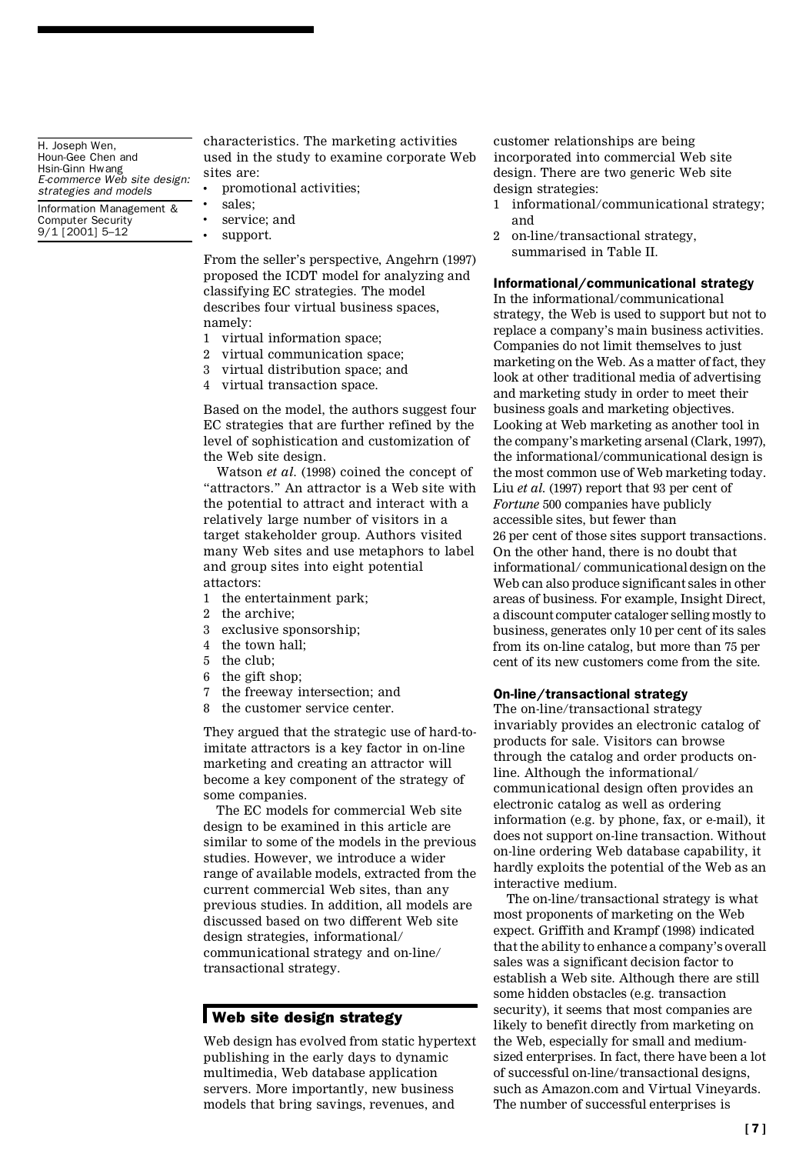Information Management & Computer Security  $9/1$  [2001] 5-12

characteristics. The marketing activities used in the study to examine corporate Web sites are:

- . promotional activities;
- . sales;
- . service; and
- . support.

From the seller's perspective, Angehrn (1997) proposed the ICDT model for analyzing and classifying EC strategies. The model describes four virtual business spaces, namely:

- 1 virtual information space;
- 2 virtual communication space;
- 3 virtual distribution space; and
- 4 virtual transaction space.

Based on the model, the authors suggest four EC strategies that are further refined by the level of sophistication and customization of the Web site design.

Watson *et al*. (1998) coined the concept of "attractors." An attractor is a Web site with the potential to attract and interact with a relatively large number of visitors in a target stakeholder group. Authors visited many Web sites and use metaphors to label and group sites into eight potential attactors:

- 1 the entertainment park;
- 2 the archive;
- 3 exclusive sponsorship;
- 4 the town hall;
- 5 the club;
- 6 the gift shop;
- 7 the freeway intersection; and
- 8 the customer service center.

They argued that the strategic use of hard-toimitate attractors is a key factor in on-line marketing and creating an attractor will become a key component of the strategy of some companies.

The EC models for commercial Web site design to be examined in this article are similar to some of the models in the previous studies. However, we introduce a wider range of available models, extracted from the current commercial Web sites, than any previous studies. In addition, all models are discussed based on two different Web site design strategies, informational/ communicational strategy and on-line/ transactional strategy.

# **Web site design strategy**

Web design has evolved from static hypertext publishing in the early days to dynamic multimedia, Web database application servers. More importantly, new business models that bring savings, revenues, and

customer relationships are being incorporated into commercial Web site design. There are two generic Web site design strategies:

- 1 informational/communicational strategy; and
- 2 on-line/transactional strategy, summarised in Table II.

### Informational/communicational strategy

In the informational/communicational strategy, the Web is used to support but not to replace a company's main business activities. Companies do not limit themselves to just marketing on the Web. As a matter of fact, they look at other traditional media of advertising and marketing study in order to meet their business goals and marketing objectives. Looking at Web marketing as another tool in the company's marketing arsenal (Clark, 1997), the informational/communicational design is the most common use of Web marketing today. Liu *et al*. (1997) report that 93 per cent of *Fortune* 500 companies have publicly accessible sites, but fewer than 26 per cent of those sites support transactions. On the other hand, there is no doubt that informational/ communicational design on the Web can also produce significant sales in other areas of business. For example, Insight Direct, a discount computer cataloger selling mostly to business, generates only 10 per cent of its sales from its on-line catalog, but more than 75 per cent of its new customers come from the site.

#### On-line/transactional strategy

The on-line/transactional strategy invariably provides an electronic catalog of products for sale. Visitors can browse through the catalog and order products online. Although the informational/ communicational design often provides an electronic catalog as well as ordering information (e.g. by phone, fax, or e-mail), it does not support on-line transaction. Without on-line ordering Web database capability, it hardly exploits the potential of the Web as an interactive medium.

The on-line/transactional strategy is what most proponents of marketing on the Web expect. Griffith and Krampf (1998) indicated that the ability to enhance a company's overall sales was a significant decision factor to establish a Web site. Although there are still some hidden obstacles (e.g. transaction security), it seems that most companies are likely to benefit directly from marketing on the Web, especially for small and mediumsized enterprises. In fact, there have been a lot of successful on-line/transactional designs, such as Amazon.com and Virtual Vineyards. The number of successful enterprises is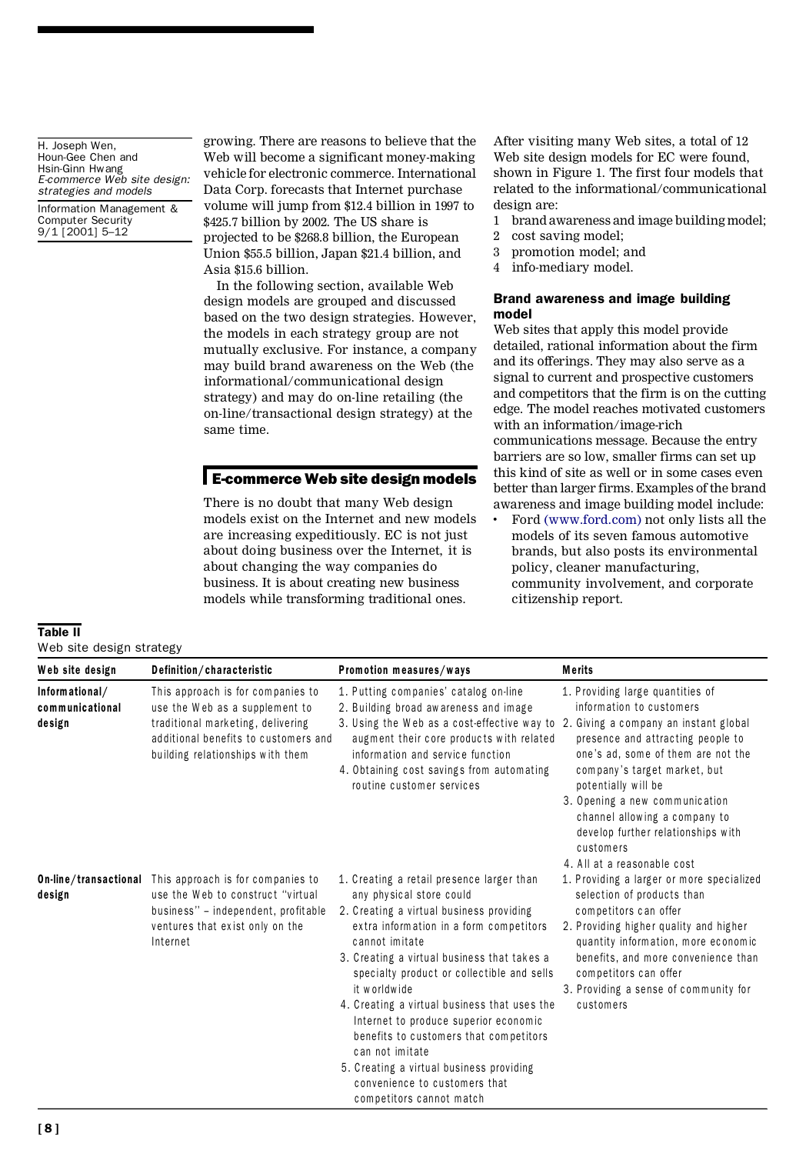Information Management & Computer Security  $9/1$  [2001] 5-12

growing. There are reasons to believe that the Web will become a significant money-making vehicle for electronic commerce. International Data Corp. forecasts that Internet purchase volume will jump from \$12.4 billion in 1997 to \$425.7 billion by 2002. The US share is projected to be \$268.8 billion, the European Union \$55.5 billion, Japan \$21.4 billion, and Asia \$15.6 billion.

In the following section, available Web design models are grouped and discussed based on the two design strategies. However, the models in each strategy group are not mutually exclusive. For instance, a company may build brand awareness on the Web (the informational/communicational design strategy) and may do on-line retailing (the on-line/transactional design strategy) at the same time.

# **E-commerce Web site design models**

There is no doubt that many Web design models exist on the Internet and new models are increasing expeditiously. EC is not just about doing business over the Internet, it is about changing the way companies do business. It is about creating new business models while transforming traditional ones.

After visiting many Web sites, a total of 12 Web site design models for EC were found, shown in Figure 1. The first four models that related to the informational/communicational design are:

- 1 brand awareness and image building model;
- 2 cost saving model;
- 3 promotion model; and
- 4 info-mediary model.

# Brand awareness and image building model

Web sites that apply this model provide detailed, rational information about the firm and its offerings. They may also serve as a signal to current and prospective customers and competitors that the firm is on the cutting edge. The model reaches motivated customers with an information/image-rich communications message. Because the entry barriers are so low, smaller firms can set up this kind of site as well or in some cases even better than larger firms. Examples of the brand awareness and image building model include:

. Ford (www.ford.com) not only lists all the models of its seven famous automotive brands, but also posts its environmental policy, cleaner manufacturing, community involvement, and corporate citizenship report.

| Web site design                             | Definition/characteristic                                                                                                                                                            | Promotion measures/ways                                                                                                                                                                                                                                                                                                                                                                                                                                                                                                                                    | <b>Merits</b>                                                                                                                                                                                                                                                                                                                                                                                |
|---------------------------------------------|--------------------------------------------------------------------------------------------------------------------------------------------------------------------------------------|------------------------------------------------------------------------------------------------------------------------------------------------------------------------------------------------------------------------------------------------------------------------------------------------------------------------------------------------------------------------------------------------------------------------------------------------------------------------------------------------------------------------------------------------------------|----------------------------------------------------------------------------------------------------------------------------------------------------------------------------------------------------------------------------------------------------------------------------------------------------------------------------------------------------------------------------------------------|
| Informational/<br>communicational<br>design | This approach is for companies to<br>use the Web as a supplement to<br>traditional marketing, delivering<br>additional benefits to customers and<br>building relationships with them | 1. Putting companies' catalog on-line<br>2. Building broad awareness and image<br>3. Using the Web as a cost-effective way to<br>augment their core products with related<br>information and service function<br>4. Obtaining cost savings from automating<br>routine customer services                                                                                                                                                                                                                                                                    | 1. Providing large quantities of<br>information to customers<br>2. Giving a company an instant global<br>presence and attracting people to<br>one's ad, some of them are not the<br>company's target market, but<br>potentially will be<br>3. Opening a new communication<br>channel allowing a company to<br>develop further relationships with<br>customers<br>4. All at a reasonable cost |
| On-line/transactional<br>design             | This approach is for companies to<br>use the Web to construct "virtual<br>business" – independent, profitable<br>ventures that exist only on the<br>Internet                         | 1. Creating a retail presence larger than<br>any physical store could<br>2. Creating a virtual business providing<br>extra information in a form competitors<br>cannot imitate<br>3. Creating a virtual business that takes a<br>specialty product or collectible and sells<br>it worldwide<br>4. Creating a virtual business that uses the<br>Internet to produce superior economic<br>benefits to customers that competitors<br>can not imitate<br>5. Creating a virtual business providing<br>convenience to customers that<br>competitors cannot match | 1. Providing a larger or more specialized<br>selection of products than<br>competitors can offer<br>2. Providing higher quality and higher<br>quantity information, more economic<br>benefits, and more convenience than<br>competitors can offer<br>3. Providing a sense of community for<br>customers                                                                                      |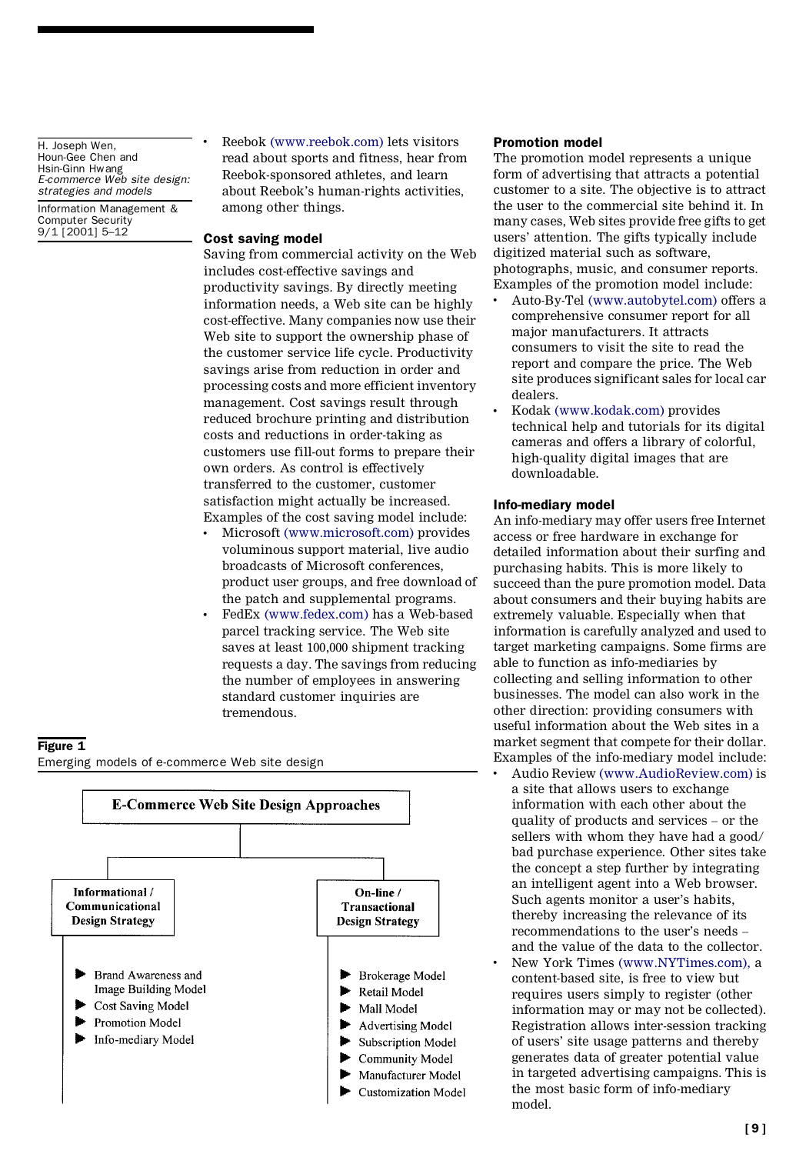Information Management & Computer Security  $9/1$  [2001] 5-12

. Reebok (www.reebok.com) lets visitors read about sports and fitness, hear from Reebok-sponsored athletes, and learn about Reebok's human-rights activities, among other things.

## Cost saving model

Saving from commercial activity on the Web includes cost-effective savings and productivity savings. By directly meeting information needs, a Web site can be highly cost-effective. Many companies now use their Web site to support the ownership phase of the customer service life cycle. Productivity savings arise from reduction in order and processing costs and more efficient inventory management. Cost savings result through reduced brochure printing and distribution costs and reductions in order-taking as customers use fill-out forms to prepare their own orders. As control is effectively transferred to the customer, customer satisfaction might actually be increased. Examples of the cost saving model include:

- . Microsoft (www.microsoft.com) provides voluminous support material, live audio broadcasts of Microsoft conferences, product user groups, and free download of the patch and supplemental programs.
- . FedEx (www.fedex.com) has a Web-based parcel tracking service. The Web site saves at least 100,000 shipment tracking requests a day. The savings from reducing the number of employees in answering standard customer inquiries are tremendous.

#### Figure 1

Emerging models of e-commerce Web site design



#### Promotion model

The promotion model represents a unique form of advertising that attracts a potential customer to a site. The objective is to attract the user to the commercial site behind it. In many cases, Web sites provide free gifts to get users' attention. The gifts typically include digitized material such as software, photographs, music, and consumer reports. Examples of the promotion model include:

- . Auto-By-Tel (www.autobytel.com) offers a comprehensive consumer report for all major manufacturers. It attracts consumers to visit the site to read the report and compare the price. The Web site produces significant sales for local car dealers.
- . Kodak (www.kodak.com) provides technical help and tutorials for its digital cameras and offers a library of colorful, high-quality digital images that are downloadable.

#### Info-mediary model

An info-mediary may offer users free Internet access or free hardware in exchange for detailed information about their surfing and purchasing habits. This is more likely to succeed than the pure promotion model. Data about consumers and their buying habits are extremely valuable. Especially when that information is carefully analyzed and used to target marketing campaigns. Some firms are able to function as info-mediaries by collecting and selling information to other businesses. The model can also work in the other direction: providing consumers with useful information about the Web sites in a market segment that compete for their dollar. Examples of the info-mediary model include:

. Audio Review (www.AudioReview.com) is a site that allows users to exchange information with each other about the quality of products and services  $-$  or the sellers with whom they have had a good/ bad purchase experience. Other sites take the concept a step further by integrating an intelligent agent into a Web browser. Such agents monitor a user's habits, thereby increasing the relevance of its recommendations to the user's needs and the value of the data to the collector. . New York Times (www.NYTimes.com), a content-based site, is free to view but requires users simply to register (other information may or may not be collected). Registration allows inter-session tracking of users' site usage patterns and thereby generates data of greater potential value in targeted advertising campaigns. This is the most basic form of info-mediary model.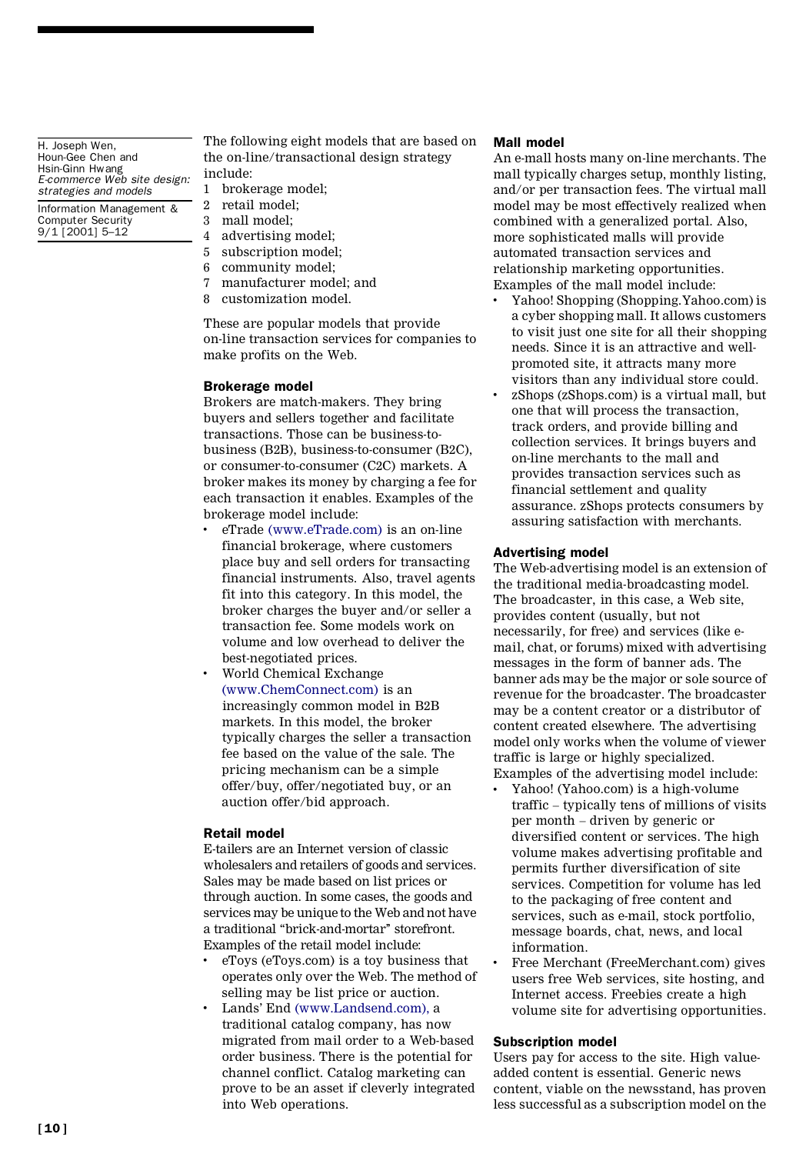Information Management & Computer Security  $9/1$  [2001] 5-12

The following eight models that are based on the on-line/transactional design strategy include:

- 1 brokerage model;
- 2 retail model;
- 3 mall model;
- 4 advertising model;
- 5 subscription model;
- 6 community model; 7 manufacturer model; and
- 8 customization model.

These are popular models that provide on-line transaction services for companies to make profits on the Web.

# Brokerage model

Brokers are match-makers. They bring buyers and sellers together and facilitate transactions. Those can be business-tobusiness (B2B), business-to-consumer (B2C), or consumer-to-consumer (C2C) markets. A broker makes its money by charging a fee for each transaction it enables. Examples of the brokerage model include:

- . eTrade (www.eTrade.com) is an on-line financial brokerage, where customers place buy and sell orders for transacting financial instruments. Also, travel agents fit into this category. In this model, the broker charges the buyer and/or seller a transaction fee. Some models work on volume and low overhead to deliver the best-negotiated prices.
- . World Chemical Exchange (www.ChemConnect.com) is an increasingly common model in B2B markets. In this model, the broker typically charges the seller a transaction fee based on the value of the sale. The pricing mechanism can be a simple offer/buy, offer/negotiated buy, or an auction offer/bid approach.

# Retail model

E-tailers are an Internet version of classic wholesalers and retailers of goods and services. Sales may be made based on list prices or through auction. In some cases, the goods and services may be unique to the Web and not have a traditional "brick-and-mortar" storefront. Examples of the retail model include:

- . eToys (eToys.com) is a toy business that operates only over the Web. The method of selling may be list price or auction.
- . Lands' End (www.Landsend.com), a traditional catalog company, has now migrated from mail order to a Web-based order business. There is the potential for channel conflict. Catalog marketing can prove to be an asset if cleverly integrated into Web operations.

# Mall model

An e-mall hosts many on-line merchants. The mall typically charges setup, monthly listing, and/or per transaction fees. The virtual mall model may be most effectively realized when combined with a generalized portal. Also, more sophisticated malls will provide automated transaction services and relationship marketing opportunities. Examples of the mall model include:

- Yahoo! Shopping (Shopping.Yahoo.com) is a cyber shopping mall. It allows customers to visit just one site for all their shopping needs. Since it is an attractive and wellpromoted site, it attracts many more visitors than any individual store could.
- . zShops (zShops.com) is a virtual mall, but one that will process the transaction, track orders, and provide billing and collection services. It brings buyers and on-line merchants to the mall and provides transaction services such as financial settlement and quality assurance. zShops protects consumers by assuring satisfaction with merchants.

# Advertising model

The Web-advertising model is an extension of the traditional media-broadcasting model. The broadcaster, in this case, a Web site, provides content (usually, but not necessarily, for free) and services (like email, chat, or forums) mixed with advertising messages in the form of banner ads. The banner ads may be the major or sole source of revenue for the broadcaster. The broadcaster may be a content creator or a distributor of content created elsewhere. The advertising model only works when the volume of viewer traffic is large or highly specialized. Examples of the advertising model include:

Yahoo! (Yahoo.com) is a high-volume

- traffic typically tens of millions of visits per month ± driven by generic or diversified content or services. The high volume makes advertising profitable and permits further diversification of site services. Competition for volume has led to the packaging of free content and services, such as e-mail, stock portfolio, message boards, chat, news, and local information.
- . Free Merchant (FreeMerchant.com) gives users free Web services, site hosting, and Internet access. Freebies create a high volume site for advertising opportunities.

# Subscription model

Users pay for access to the site. High valueadded content is essential. Generic news content, viable on the newsstand, has proven less successful as a subscription model on the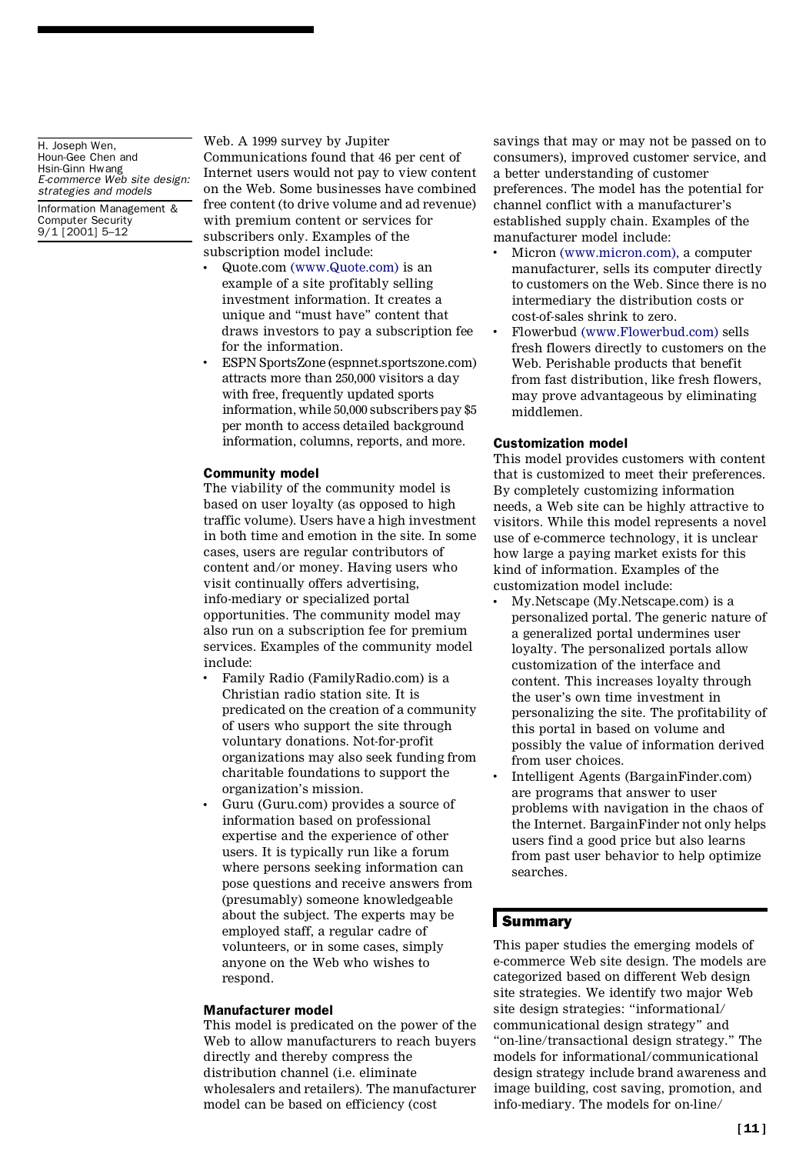Information Management & Computer Security  $9/1$  [2001] 5-12

Web. A 1999 survey by Jupiter

Communications found that 46 per cent of Internet users would not pay to view content on the Web. Some businesses have combined free content (to drive volume and ad revenue) with premium content or services for subscribers only. Examples of the subscription model include:

- . Quote.com (www.Quote.com) is an example of a site profitably selling investment information. It creates a unique and "must have" content that draws investors to pay a subscription fee for the information.
- . ESPN SportsZone (espnnet.sportszone.com) attracts more than 250,000 visitors a day with free, frequently updated sports information, while 50,000 subscribers pay \$5 per month to access detailed background information, columns, reports, and more.

#### Community model

The viability of the community model is based on user loyalty (as opposed to high traffic volume). Users have a high investment in both time and emotion in the site. In some cases, users are regular contributors of content and/or money. Having users who visit continually offers advertising, info-mediary or specialized portal opportunities. The community model may also run on a subscription fee for premium services. Examples of the community model include:

- . Family Radio (FamilyRadio.com) is a Christian radio station site. It is predicated on the creation of a community of users who support the site through voluntary donations. Not-for-profit organizations may also seek funding from charitable foundations to support the organization's mission.
- . Guru (Guru.com) provides a source of information based on professional expertise and the experience of other users. It is typically run like a forum where persons seeking information can pose questions and receive answers from (presumably) someone knowledgeable about the subject. The experts may be employed staff, a regular cadre of volunteers, or in some cases, simply anyone on the Web who wishes to respond.

#### Manufacturer model

This model is predicated on the power of the Web to allow manufacturers to reach buyers directly and thereby compress the distribution channel (i.e. eliminate wholesalers and retailers). The manufacturer model can be based on efficiency (cost

savings that may or may not be passed on to consumers), improved customer service, and a better understanding of customer preferences. The model has the potential for channel conflict with a manufacturer's established supply chain. Examples of the manufacturer model include:

- . Micron (www.micron.com), a computer manufacturer, sells its computer directly to customers on the Web. Since there is no intermediary the distribution costs or cost-of-sales shrink to zero.
- . Flowerbud (www.Flowerbud.com) sells fresh flowers directly to customers on the Web. Perishable products that benefit from fast distribution, like fresh flowers, may prove advantageous by eliminating middlemen.

## Customization model

This model provides customers with content that is customized to meet their preferences. By completely customizing information needs, a Web site can be highly attractive to visitors. While this model represents a novel use of e-commerce technology, it is unclear how large a paying market exists for this kind of information. Examples of the customization model include:

- . My.Netscape (My.Netscape.com) is a personalized portal. The generic nature of a generalized portal undermines user loyalty. The personalized portals allow customization of the interface and content. This increases loyalty through the user's own time investment in personalizing the site. The profitability of this portal in based on volume and possibly the value of information derived from user choices.
- . Intelligent Agents (BargainFinder.com) are programs that answer to user problems with navigation in the chaos of the Internet. BargainFinder not only helps users find a good price but also learns from past user behavior to help optimize searches.

# **Summary**

This paper studies the emerging models of e-commerce Web site design. The models are categorized based on different Web design site strategies. We identify two major Web site design strategies: "informational/ communicational design strategy'' and ``on-line/transactional design strategy.'' The models for informational/communicational design strategy include brand awareness and image building, cost saving, promotion, and info-mediary. The models for on-line/